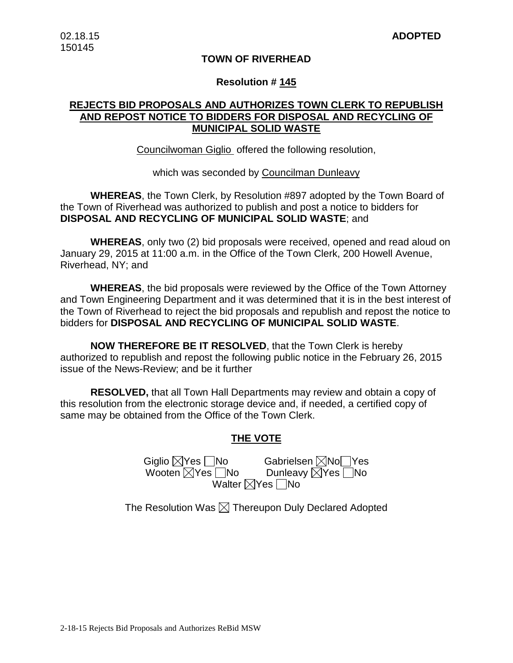#### **TOWN OF RIVERHEAD**

#### **Resolution # 145**

## **REJECTS BID PROPOSALS AND AUTHORIZES TOWN CLERK TO REPUBLISH AND REPOST NOTICE TO BIDDERS FOR DISPOSAL AND RECYCLING OF MUNICIPAL SOLID WASTE**

Councilwoman Giglio offered the following resolution,

which was seconded by Councilman Dunleavy

**WHEREAS**, the Town Clerk, by Resolution #897 adopted by the Town Board of the Town of Riverhead was authorized to publish and post a notice to bidders for **DISPOSAL AND RECYCLING OF MUNICIPAL SOLID WASTE**; and

**WHEREAS**, only two (2) bid proposals were received, opened and read aloud on January 29, 2015 at 11:00 a.m. in the Office of the Town Clerk, 200 Howell Avenue, Riverhead, NY; and

**WHEREAS**, the bid proposals were reviewed by the Office of the Town Attorney and Town Engineering Department and it was determined that it is in the best interest of the Town of Riverhead to reject the bid proposals and republish and repost the notice to bidders for **DISPOSAL AND RECYCLING OF MUNICIPAL SOLID WASTE**.

**NOW THEREFORE BE IT RESOLVED**, that the Town Clerk is hereby authorized to republish and repost the following public notice in the February 26, 2015 issue of the News-Review; and be it further

**RESOLVED,** that all Town Hall Departments may review and obtain a copy of this resolution from the electronic storage device and, if needed, a certified copy of same may be obtained from the Office of the Town Clerk.

## **THE VOTE**

Giglio  $\boxtimes$ Yes  $\Box$ No Gabrielsen  $\boxtimes$ No Ves<br>Wooten  $\boxtimes$ Yes  $\Box$ No Dunleavy  $\boxtimes$ Yes  $\Box$ No Wooten  $\boxtimes$ Yes  $\Box$ No Walter  $\boxtimes$ Yes  $\Box$ No

The Resolution Was  $\boxtimes$  Thereupon Duly Declared Adopted